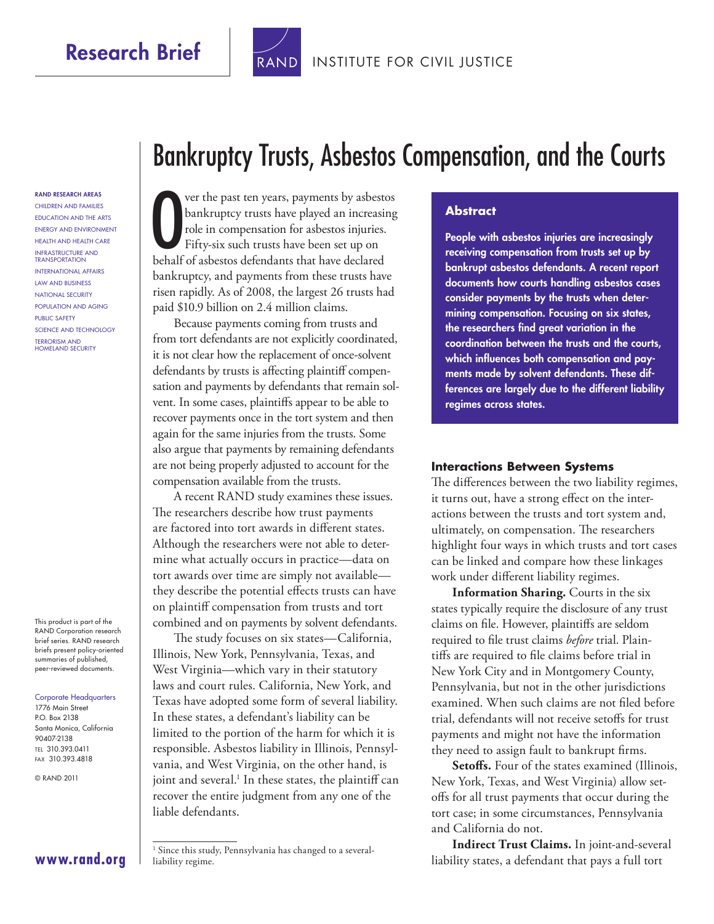Research Brief | TRAND [INSTITUTE FOR CIVIL JUSTICE](http://www.rand.org/pdfrd/icj/)



Bankruptcy Trusts, Asbestos Compensation, and the Courts

RAND RESEARCH AREAS Children and Families Education and the Arts Energy and Environment Health and Health Care Infrastructure and **TRANSPORTATION** International Affairs Law and Business National Security Population and Aging Public Safety Science and Technology Terrorism and Homeland Security

This product is part of the RAND Corporation research brief series. RAND research briefs present policy-oriented summaries of published, peer-reviewed documents.

Corporate Headquarters 1776 Main Street P.O. Box 2138 Santa Monica, California 90407-2138 Tel 310.393.0411 Fax 310.393.4818

© RAND 2011

Ver the past ten years, payments by asbestoclarized an increasing role in compensation for asbestos injuries.<br>Fifty-six such trusts have been set up on behalf of asbestos defendants that have declared ver the past ten years, payments by asbestos bankruptcy trusts have played an increasing role in compensation for asbestos injuries. Fifty-six such trusts have been set up on bankruptcy, and payments from these trusts have risen rapidly. As of 2008, the largest 26 trusts had paid \$10.9 billion on 2.4 million claims.

Because payments coming from trusts and from tort defendants are not explicitly coordinated, it is not clear how the replacement of once-solvent defendants by trusts is affecting plaintiff compensation and payments by defendants that remain solvent. In some cases, plaintiffs appear to be able to recover payments once in the tort system and then again for the same injuries from the trusts. Some also argue that payments by remaining defendants are not being properly adjusted to account for the compensation available from the trusts.

A recent RAND study examines these issues. The researchers describe how trust payments are factored into tort awards in different states. Although the researchers were not able to determine what actually occurs in practice—data on tort awards over time are simply not available they describe the potential effects trusts can have on plaintiff compensation from trusts and tort combined and on payments by solvent defendants.

The study focuses on six states—California, Illinois, New York, Pennsylvania, Texas, and West Virginia—which vary in their statutory laws and court rules. California, New York, and Texas have adopted some form of several liability. In these states, a defendant's liability can be limited to the portion of the harm for which it is responsible. Asbestos liability in Illinois, Pennsylvania, and West Virginia, on the other hand, is joint and several.<sup>1</sup> In these states, the plaintiff can recover the entire judgment from any one of the liable defendants.

#### **Abstract**

People with asbestos injuries are increasingly receiving compensation from trusts set up by bankrupt asbestos defendants. A recent report documents how courts handling asbestos cases consider payments by the trusts when determining compensation. Focusing on six states, the researchers find great variation in the coordination between the trusts and the courts, which influences both compensation and payments made by solvent defendants. These differences are largely due to the different liability regimes across states.

#### **Interactions Between Systems**

The differences between the two liability regimes, it turns out, have a strong effect on the interactions between the trusts and tort system and, ultimately, on compensation. The researchers highlight four ways in which trusts and tort cases can be linked and compare how these linkages work under different liability regimes.

**Information Sharing.** Courts in the six states typically require the disclosure of any trust claims on file. However, plaintiffs are seldom required to file trust claims *before* trial. Plaintiffs are required to file claims before trial in New York City and in Montgomery County, Pennsylvania, but not in the other jurisdictions examined. When such claims are not filed before trial, defendants will not receive setoffs for trust payments and might not have the information they need to assign fault to bankrupt firms.

Setoffs. Four of the states examined (Illinois, New York, Texas, and West Virginia) allow setoffs for all trust payments that occur during the tort case; in some circumstances, Pennsylvania and California do not.

**Indirect Trust Claims.** In joint-and-several liability states, a defendant that pays a full tort

### **[www.rand.org](http://www.rand.org)**

<sup>&</sup>lt;sup>1</sup> Since this study, Pennsylvania has changed to a severalliability regime.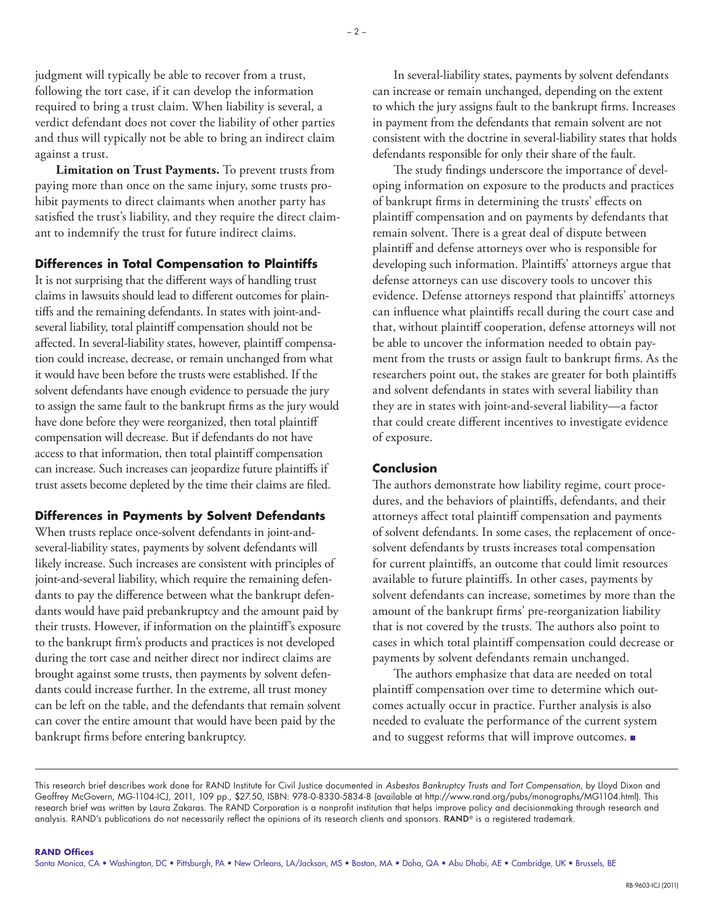judgment will typically be able to recover from a trust, following the tort case, if it can develop the information required to bring a trust claim. When liability is several, a verdict defendant does not cover the liability of other parties and thus will typically not be able to bring an indirect claim against a trust.

**Limitation on Trust Payments.** To prevent trusts from paying more than once on the same injury, some trusts prohibit payments to direct claimants when another party has satisfied the trust's liability, and they require the direct claimant to indemnify the trust for future indirect claims.

#### **Differences in Total Compensation to Plaintiffs**

It is not surprising that the different ways of handling trust claims in lawsuits should lead to different outcomes for plaintiffs and the remaining defendants. In states with joint-andseveral liability, total plaintiff compensation should not be affected. In several-liability states, however, plaintiff compensation could increase, decrease, or remain unchanged from what it would have been before the trusts were established. If the solvent defendants have enough evidence to persuade the jury to assign the same fault to the bankrupt firms as the jury would have done before they were reorganized, then total plaintiff compensation will decrease. But if defendants do not have access to that information, then total plaintiff compensation can increase. Such increases can jeopardize future plaintiffs if trust assets become depleted by the time their claims are filed.

### **Differences in Payments by Solvent Defendants**

When trusts replace once-solvent defendants in joint-andseveral-liability states, payments by solvent defendants will likely increase. Such increases are consistent with principles of joint-and-several liability, which require the remaining defendants to pay the difference between what the bankrupt defendants would have paid prebankruptcy and the amount paid by their trusts. However, if information on the plaintiff's exposure to the bankrupt firm's products and practices is not developed during the tort case and neither direct nor indirect claims are brought against some trusts, then payments by solvent defendants could increase further. In the extreme, all trust money can be left on the table, and the defendants that remain solvent can cover the entire amount that would have been paid by the bankrupt firms before entering bankruptcy.

In several-liability states, payments by solvent defendants can increase or remain unchanged, depending on the extent to which the jury assigns fault to the bankrupt firms. Increases in payment from the defendants that remain solvent are not consistent with the doctrine in several-liability states that holds defendants responsible for only their share of the fault.

The study findings underscore the importance of developing information on exposure to the products and practices of bankrupt firms in determining the trusts' effects on plaintiff compensation and on payments by defendants that remain solvent. There is a great deal of dispute between plaintiff and defense attorneys over who is responsible for developing such information. Plaintiffs' attorneys argue that defense attorneys can use discovery tools to uncover this evidence. Defense attorneys respond that plaintiffs' attorneys can influence what plaintiffs recall during the court case and that, without plaintiff cooperation, defense attorneys will not be able to uncover the information needed to obtain payment from the trusts or assign fault to bankrupt firms. As the researchers point out, the stakes are greater for both plaintiffs and solvent defendants in states with several liability than they are in states with joint-and-several liability—a factor that could create different incentives to investigate evidence of exposure.

#### **Conclusion**

The authors demonstrate how liability regime, court procedures, and the behaviors of plaintiffs, defendants, and their attorneys affect total plaintiff compensation and payments of solvent defendants. In some cases, the replacement of oncesolvent defendants by trusts increases total compensation for current plaintiffs, an outcome that could limit resources available to future plaintiffs. In other cases, payments by solvent defendants can increase, sometimes by more than the amount of the bankrupt firms' pre-reorganization liability that is not covered by the trusts. The authors also point to cases in which total plaintiff compensation could decrease or payments by solvent defendants remain unchanged.

The authors emphasize that data are needed on total plaintiff compensation over time to determine which outcomes actually occur in practice. Further analysis is also needed to evaluate the performance of the current system and to suggest reforms that will improve outcomes. ■

This research brief describes work done for RAND Institute for Civil Justice documented in *Asbestos Bankruptcy Trusts and Tort Compensation*, by Lloyd Dixon and Geoffrey McGovern, MG-1104-ICJ, 2011, 109 pp., \$27.50, ISBN: 978-0-8330-5834-8 (available at [http://www.rand.org/pubs/monographs/MG1104.html\)](http://www.rand.org/pubs/monographs/MG1104.html). This research brief was written by Laura Zakaras. The RAND Corporation is a nonprofit institution that helps improve policy and decisionmaking through research and analysis. RAND's publications do not necessarily reflect the opinions of its research clients and sponsors. RAND® is a registered trademark.